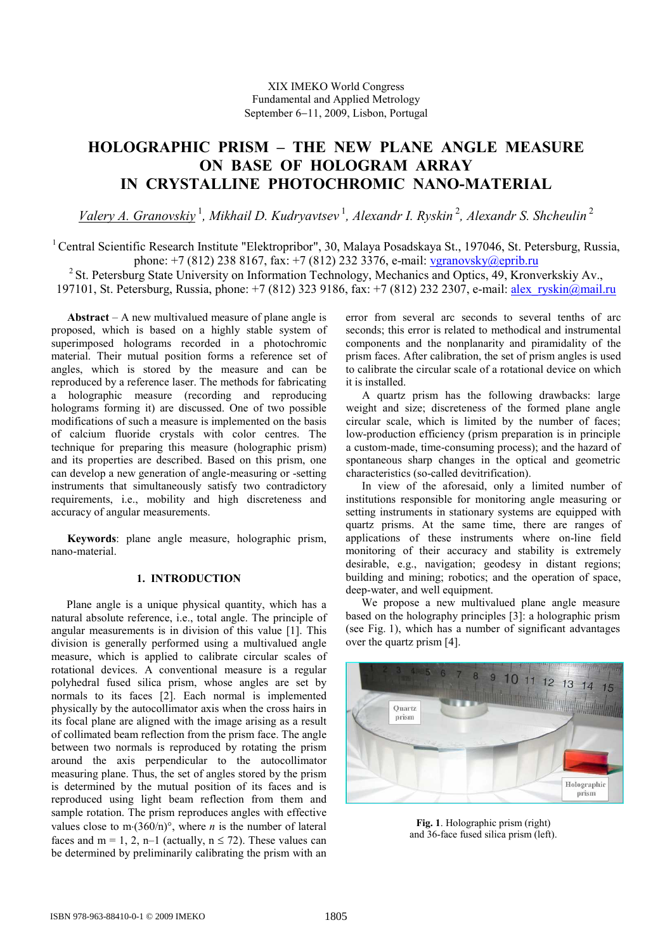# HOLOGRAPHIC PRISM – THE NEW PLANE ANGLE MEASURE ON BASE OF HOLOGRAM ARRAY IN CRYSTALLINE PHOTOCHROMIC NANO-MATERIAL

Valery A. Granovskiy<sup>1</sup>, Mikhail D. Kudryavtsev<sup>1</sup>, Alexandr I. Ryskin<sup>2</sup>, Alexandr S. Shcheulin<sup>2</sup>

<sup>1</sup> Central Scientific Research Institute "Elektropribor", 30, Malaya Posadskaya St., 197046, St. Petersburg, Russia, phone: +7 (812) 238 8167, fax: +7 (812) 232 3376, e-mail: vgranovsky@eprib.ru <sup>2</sup> St. Petersburg State University on Information Technology, Mechanics and Optics, 49, Kronverkskiy Av., 197101, St. Petersburg, Russia, phone: +7 (812) 323 9186, fax: +7 (812) 232 2307, e-mail: alex\_ryskin@mail.ru

Abstract – A new multivalued measure of plane angle is proposed, which is based on a highly stable system of superimposed holograms recorded in a photochromic material. Their mutual position forms a reference set of angles, which is stored by the measure and can be reproduced by a reference laser. The methods for fabricating a holographic measure (recording and reproducing holograms forming it) are discussed. One of two possible modifications of such a measure is implemented on the basis of calcium fluoride crystals with color centres. The technique for preparing this measure (holographic prism) and its properties are described. Based on this prism, one can develop a new generation of angle-measuring or -setting instruments that simultaneously satisfy two contradictory requirements, i.e., mobility and high discreteness and accuracy of angular measurements.

Keywords: plane angle measure, holographic prism, nano-material.

## 1. INTRODUCTION

Plane angle is a unique physical quantity, which has a natural absolute reference, i.e., total angle. The principle of angular measurements is in division of this value [1]. This division is generally performed using a multivalued angle measure, which is applied to calibrate circular scales of rotational devices. A conventional measure is a regular polyhedral fused silica prism, whose angles are set by normals to its faces [2]. Each normal is implemented physically by the autocollimator axis when the cross hairs in its focal plane are aligned with the image arising as a result of collimated beam reflection from the prism face. The angle between two normals is reproduced by rotating the prism around the axis perpendicular to the autocollimator measuring plane. Thus, the set of angles stored by the prism is determined by the mutual position of its faces and is reproduced using light beam reflection from them and sample rotation. The prism reproduces angles with effective values close to m⋅(360/n)°, where *n* is the number of lateral faces and m = 1, 2, n–1 (actually,  $n \le 72$ ). These values can be determined by preliminarily calibrating the prism with an

error from several arc seconds to several tenths of arc seconds: this error is related to methodical and instrumental components and the nonplanarity and piramidality of the prism faces. After calibration, the set of prism angles is used to calibrate the circular scale of a rotational device on which it is installed.

A quartz prism has the following drawbacks: large weight and size; discreteness of the formed plane angle circular scale, which is limited by the number of faces; low-production efficiency (prism preparation is in principle a custom-made, time-consuming process); and the hazard of spontaneous sharp changes in the optical and geometric characteristics (so-called devitrification).

In view of the aforesaid, only a limited number of institutions responsible for monitoring angle measuring or setting instruments in stationary systems are equipped with quartz prisms. At the same time, there are ranges of applications of these instruments where on-line field monitoring of their accuracy and stability is extremely desirable, e.g., navigation; geodesy in distant regions; building and mining; robotics; and the operation of space, deep-water, and well equipment.

We propose a new multivalued plane angle measure based on the holography principles [3]: a holographic prism (see Fig. 1), which has a number of significant advantages over the quartz prism [4].



Fig. 1. Holographic prism (right) and 36-face fused silica prism (left).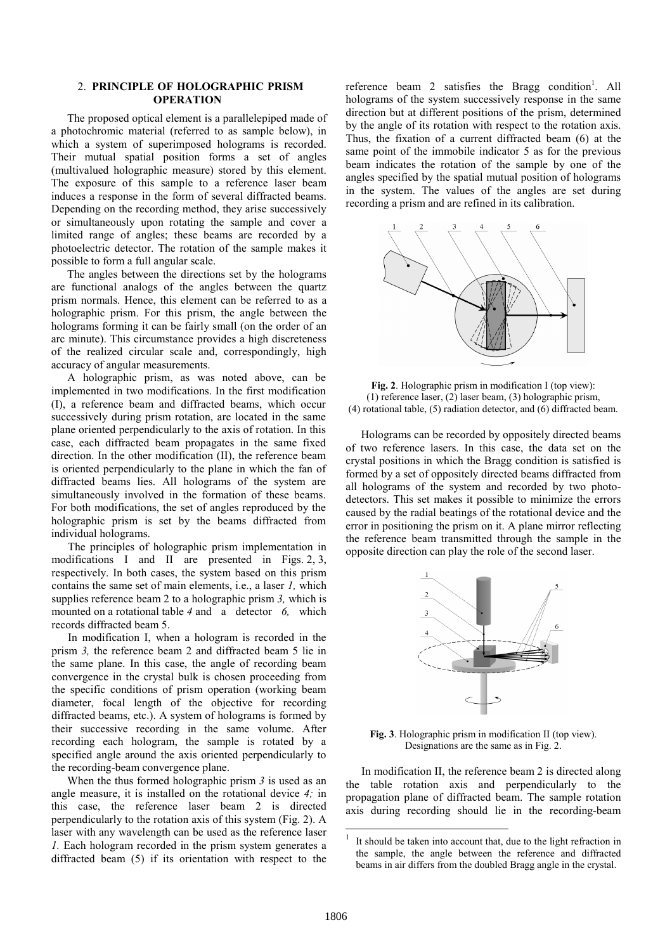#### 2. PRINCIPLE OF HOLOGRAPHIC PRISM **OPERATION**

The proposed optical element is a parallelepiped made of a photochromic material (referred to as sample below), in which a system of superimposed holograms is recorded. Their mutual spatial position forms a set of angles (multivalued holographic measure) stored by this element. The exposure of this sample to a reference laser beam induces a response in the form of several diffracted beams. Depending on the recording method, they arise successively or simultaneously upon rotating the sample and cover a limited range of angles; these beams are recorded by a photoelectric detector. The rotation of the sample makes it possible to form a full angular scale.

The angles between the directions set by the holograms are functional analogs of the angles between the quartz prism normals. Hence, this element can be referred to as a holographic prism. For this prism, the angle between the holograms forming it can be fairly small (on the order of an arc minute). This circumstance provides a high discreteness of the realized circular scale and, correspondingly, high accuracy of angular measurements.

A holographic prism, as was noted above, can be implemented in two modifications. In the first modification (I), a reference beam and diffracted beams, which occur successively during prism rotation, are located in the same plane oriented perpendicularly to the axis of rotation. In this case, each diffracted beam propagates in the same fixed direction. In the other modification (II), the reference beam is oriented perpendicularly to the plane in which the fan of diffracted beams lies. All holograms of the system are simultaneously involved in the formation of these beams. For both modifications, the set of angles reproduced by the holographic prism is set by the beams diffracted from individual holograms.

The principles of holographic prism implementation in modifications I and II are presented in Figs. 2, 3, respectively. In both cases, the system based on this prism contains the same set of main elements, i.e., a laser 1, which supplies reference beam 2 to a holographic prism 3, which is mounted on a rotational table 4 and a detector 6, which records diffracted beam 5.

In modification I, when a hologram is recorded in the prism 3, the reference beam 2 and diffracted beam 5 lie in the same plane. In this case, the angle of recording beam convergence in the crystal bulk is chosen proceeding from the specific conditions of prism operation (working beam diameter, focal length of the objective for recording diffracted beams, etc.). A system of holograms is formed by their successive recording in the same volume. After recording each hologram, the sample is rotated by a specified angle around the axis oriented perpendicularly to the recording-beam convergence plane.

When the thus formed holographic prism  $3$  is used as an angle measure, it is installed on the rotational device 4; in this case, the reference laser beam 2 is directed perpendicularly to the rotation axis of this system (Fig. 2). A laser with any wavelength can be used as the reference laser 1. Each hologram recorded in the prism system generates a diffracted beam (5) if its orientation with respect to the

reference beam 2 satisfies the Bragg condition<sup>1</sup>. All holograms of the system successively response in the same direction but at different positions of the prism, determined by the angle of its rotation with respect to the rotation axis. Thus, the fixation of a current diffracted beam (6) at the same point of the immobile indicator 5 as for the previous beam indicates the rotation of the sample by one of the angles specified by the spatial mutual position of holograms in the system. The values of the angles are set during recording a prism and are refined in its calibration.



Fig. 2. Holographic prism in modification I (top view): (1) reference laser, (2) laser beam, (3) holographic prism, (4) rotational table, (5) radiation detector, and (6) diffracted beam.

Holograms can be recorded by oppositely directed beams of two reference lasers. In this case, the data set on the crystal positions in which the Bragg condition is satisfied is formed by a set of oppositely directed beams diffracted from all holograms of the system and recorded by two photodetectors. This set makes it possible to minimize the errors caused by the radial beatings of the rotational device and the error in positioning the prism on it. A plane mirror reflecting the reference beam transmitted through the sample in the opposite direction can play the role of the second laser.



Fig. 3. Holographic prism in modification II (top view). Designations are the same as in Fig. 2.

In modification II, the reference beam 2 is directed along the table rotation axis and perpendicularly to the propagation plane of diffracted beam. The sample rotation axis during recording should lie in the recording-beam

<sup>|&</sup>lt;br>| It should be taken into account that, due to the light refraction in the sample, the angle between the reference and diffracted beams in air differs from the doubled Bragg angle in the crystal.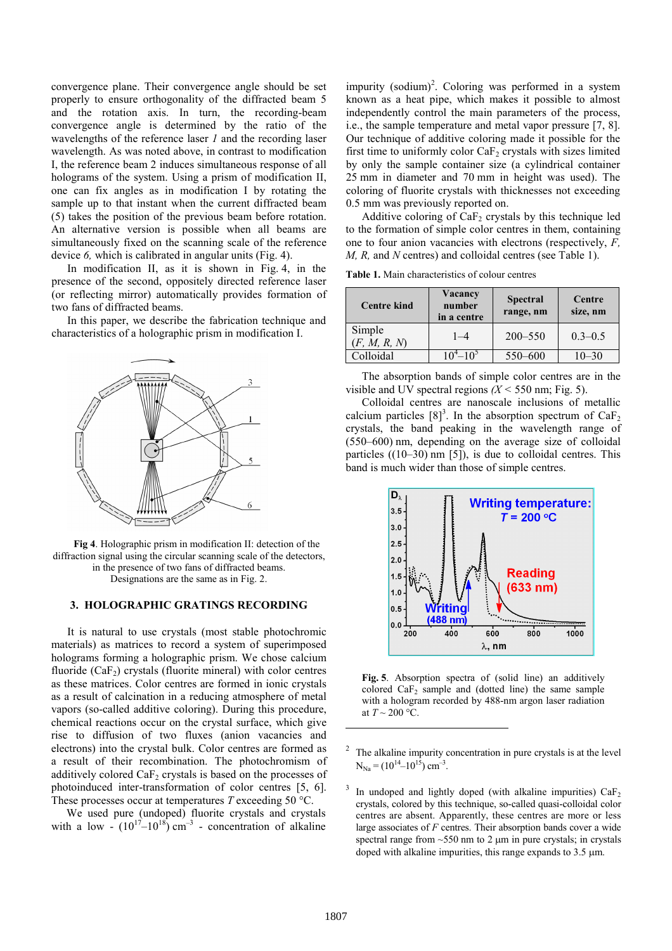convergence plane. Their convergence angle should be set properly to ensure orthogonality of the diffracted beam 5 and the rotation axis. In turn, the recording-beam convergence angle is determined by the ratio of the wavelengths of the reference laser 1 and the recording laser wavelength. As was noted above, in contrast to modification I, the reference beam 2 induces simultaneous response of all holograms of the system. Using a prism of modification II, one can fix angles as in modification I by rotating the sample up to that instant when the current diffracted beam (5) takes the position of the previous beam before rotation. An alternative version is possible when all beams are simultaneously fixed on the scanning scale of the reference device 6, which is calibrated in angular units (Fig. 4).

In modification II, as it is shown in Fig. 4, in the presence of the second, oppositely directed reference laser (or reflecting mirror) automatically provides formation of two fans of diffracted beams.

In this paper, we describe the fabrication technique and characteristics of a holographic prism in modification I.



Fig 4. Holographic prism in modification II: detection of the diffraction signal using the circular scanning scale of the detectors, in the presence of two fans of diffracted beams. Designations are the same as in Fig. 2.

#### 3. HOLOGRAPHIC GRATINGS RECORDING

It is natural to use crystals (most stable photochromic materials) as matrices to record a system of superimposed holograms forming a holographic prism. We chose calcium fluoride  $(CaF<sub>2</sub>)$  crystals (fluorite mineral) with color centres as these matrices. Color centres are formed in ionic crystals as a result of calcination in a reducing atmosphere of metal vapors (so-called additive coloring). During this procedure, chemical reactions occur on the crystal surface, which give rise to diffusion of two fluxes (anion vacancies and electrons) into the crystal bulk. Color centres are formed as a result of their recombination. The photochromism of additively colored  $CaF<sub>2</sub>$  crystals is based on the processes of photoinduced inter-transformation of color centres [5, 6]. These processes occur at temperatures  $T$  exceeding 50 °C.

We used pure (undoped) fluorite crystals and crystals with a low  $\cdot$   $(10^{17}-10^{18})$  cm<sup>-3</sup> - concentration of alkaline

impurity  $(sodium)^2$ . Coloring was performed in a system known as a heat pipe, which makes it possible to almost independently control the main parameters of the process, i.e., the sample temperature and metal vapor pressure [7, 8]. Our technique of additive coloring made it possible for the first time to uniformly color  $CaF<sub>2</sub>$  crystals with sizes limited by only the sample container size (a cylindrical container 25 mm in diameter and 70 mm in height was used). The coloring of fluorite crystals with thicknesses not exceeding 0.5 mm was previously reported on.

Additive coloring of  $CaF<sub>2</sub>$  crystals by this technique led to the formation of simple color centres in them, containing one to four anion vacancies with electrons (respectively, F, M, R, and N centres) and colloidal centres (see Table 1).

Table 1. Main characteristics of colour centres

| <b>Centre kind</b>     | Vacancy<br>number<br>in a centre | <b>Spectral</b><br>range, nm | Centre<br>size, nm |
|------------------------|----------------------------------|------------------------------|--------------------|
| Simple<br>(F, M, R, N) | $1 - 4$                          | $200 - 550$                  | $0.3 - 0.5$        |
| Colloidal              | $10^4 - 10^5$                    | 550-600                      | $10 - 30$          |

The absorption bands of simple color centres are in the visible and UV spectral regions  $(X < 550$  nm; Fig. 5).

Colloidal centres are nanoscale inclusions of metallic calcium particles  $[8]^3$ . In the absorption spectrum of CaF<sub>2</sub> crystals, the band peaking in the wavelength range of (550–600) nm, depending on the average size of colloidal particles ((10–30) nm [5]), is due to colloidal centres. This band is much wider than those of simple centres.



Fig. 5. Absorption spectra of (solid line) an additively colored  $CaF<sub>2</sub>$  sample and (dotted line) the same sample with a hologram recorded by 488-nm argon laser radiation at  $T \sim 200$  °C.

l

<sup>2</sup> The alkaline impurity concentration in pure crystals is at the level  $N_{Na} = (10^{14} - 10^{15})$  cm<sup>-3</sup>.

<sup>3</sup> In undoped and lightly doped (with alkaline impurities)  $CaF<sub>2</sub>$ crystals, colored by this technique, so-called quasi-colloidal color centres are absent. Apparently, these centres are more or less large associates of  $F$  centres. Their absorption bands cover a wide spectral range from  $\sim$  550 nm to 2  $\mu$ m in pure crystals; in crystals doped with alkaline impurities, this range expands to  $3.5 \mu m$ .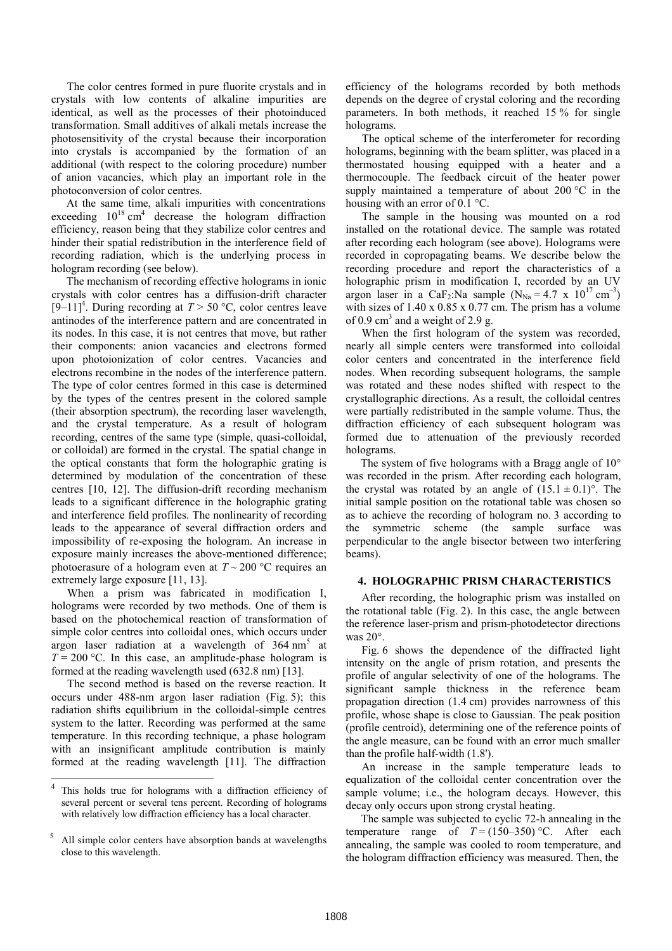The color centres formed in pure fluorite crystals and in crystals with low contents of alkaline impurities are identical, as well as the processes of their photoinduced transformation. Small additives of alkali metals increase the photosensitivity of the crystal because their incorporation into crystals is accompanied by the formation of an additional (with respect to the coloring procedure) number of anion vacancies, which play an important role in the photoconversion of color centres.

At the same time, alkali impurities with concentrations exceeding  $10^{18}$  cm<sup>4</sup> decrease the hologram diffraction efficiency, reason being that they stabilize color centres and hinder their spatial redistribution in the interference field of recording radiation, which is the underlying process in hologram recording (see below).

The mechanism of recording effective holograms in ionic crystals with color centres has a diffusion-drift character  $[9-11]$ <sup>4</sup>. During recording at  $T > 50$  °C, color centres leave antinodes of the interference pattern and are concentrated in its nodes. In this case, it is not centres that move, but rather their components: anion vacancies and electrons formed upon photoionization of color centres. Vacancies and electrons recombine in the nodes of the interference pattern. The type of color centres formed in this case is determined by the types of the centres present in the colored sample (their absorption spectrum), the recording laser wavelength, and the crystal temperature. As a result of hologram recording, centres of the same type (simple, quasi-colloidal, or colloidal) are formed in the crystal. The spatial change in the optical constants that form the holographic grating is determined by modulation of the concentration of these centres [10, 12]. The diffusion-drift recording mechanism leads to a significant difference in the holographic grating and interference field profiles. The nonlinearity of recording leads to the appearance of several diffraction orders and impossibility of re-exposing the hologram. An increase in exposure mainly increases the above-mentioned difference; photoerasure of a hologram even at  $T \sim 200$  °C requires an extremely large exposure [11, 13].

When a prism was fabricated in modification I, holograms were recorded by two methods. One of them is based on the photochemical reaction of transformation of simple color centres into colloidal ones, which occurs under argon laser radiation at a wavelength of  $364 \text{ nm}^5$  at  $T = 200$  °C. In this case, an amplitude-phase hologram is formed at the reading wavelength used (632.8 nm) [13].

The second method is based on the reverse reaction. It occurs under 488-nm argon laser radiation (Fig. 5); this radiation shifts equilibrium in the colloidal-simple centres system to the latter. Recording was performed at the same temperature. In this recording technique, a phase hologram with an insignificant amplitude contribution is mainly formed at the reading wavelength [11]. The diffraction efficiency of the holograms recorded by both methods depends on the degree of crystal coloring and the recording parameters. In both methods, it reached 15 % for single holograms.

The optical scheme of the interferometer for recording holograms, beginning with the beam splitter, was placed in a thermostated housing equipped with a heater and a thermocouple. The feedback circuit of the heater power supply maintained a temperature of about 200 °C in the housing with an error of 0.1 °C.

The sample in the housing was mounted on a rod installed on the rotational device. The sample was rotated after recording each hologram (see above). Holograms were recorded in copropagating beams. We describe below the recording procedure and report the characteristics of a holographic prism in modification I, recorded by an UV argon laser in a CaF<sub>2</sub>:Na sample  $(N_{N_a} = 4.7 \times 10^{17} \text{ cm}^{-3})$ with sizes of 1.40 x 0.85 x 0.77 cm. The prism has a volume of 0.9 cm<sup>3</sup> and a weight of 2.9 g.

When the first hologram of the system was recorded, nearly all simple centers were transformed into colloidal color centers and concentrated in the interference field nodes. When recording subsequent holograms, the sample was rotated and these nodes shifted with respect to the crystallographic directions. As a result, the colloidal centres were partially redistributed in the sample volume. Thus, the diffraction efficiency of each subsequent hologram was formed due to attenuation of the previously recorded holograms.

The system of five holograms with a Bragg angle of 10° was recorded in the prism. After recording each hologram, the crystal was rotated by an angle of  $(15.1 \pm 0.1)$ °. The initial sample position on the rotational table was chosen so as to achieve the recording of hologram no. 3 according to the symmetric scheme (the sample surface was perpendicular to the angle bisector between two interfering beams).

## 4. HOLOGRAPHIC PRISM CHARACTERISTICS

After recording, the holographic prism was installed on the rotational table (Fig. 2). In this case, the angle between the reference laser-prism and prism-photodetector directions was 20°.

Fig. 6 shows the dependence of the diffracted light intensity on the angle of prism rotation, and presents the profile of angular selectivity of one of the holograms. The significant sample thickness in the reference beam propagation direction (1.4 cm) provides narrowness of this profile, whose shape is close to Gaussian. The peak position (profile centroid), determining one of the reference points of the angle measure, can be found with an error much smaller than the profile half-width (1.8').

An increase in the sample temperature leads to equalization of the colloidal center concentration over the sample volume; i.e., the hologram decays. However, this decay only occurs upon strong crystal heating.

The sample was subjected to cyclic 72-h annealing in the temperature range of  $T = (150-350)$  °C. After each annealing, the sample was cooled to room temperature, and the hologram diffraction efficiency was measured. Then, the

<sup>-&</sup>lt;br>4 This holds true for holograms with a diffraction efficiency of several percent or several tens percent. Recording of holograms with relatively low diffraction efficiency has a local character.

<sup>5</sup> All simple color centers have absorption bands at wavelengths close to this wavelength.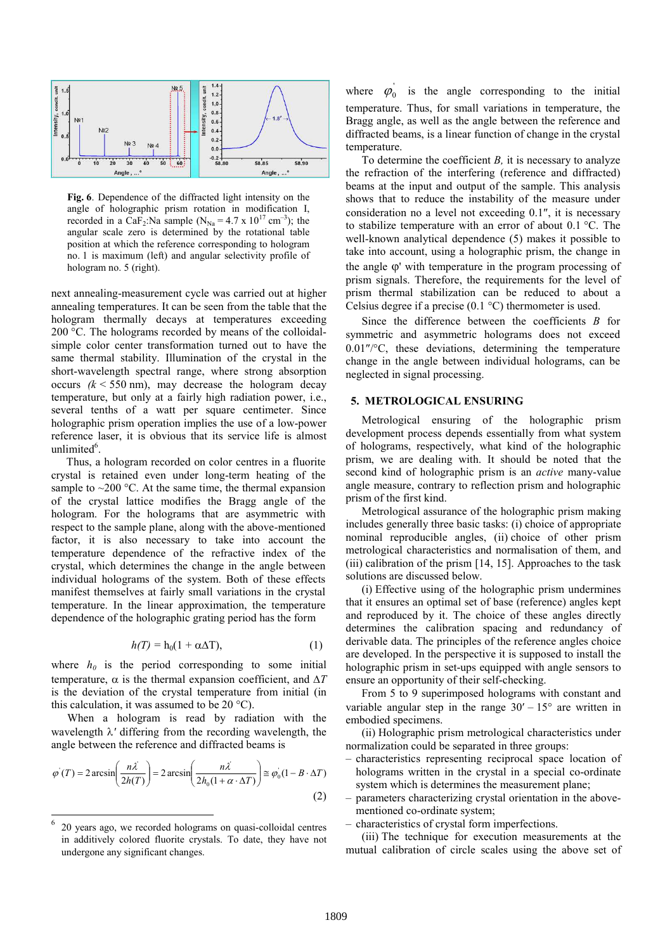

Fig. 6. Dependence of the diffracted light intensity on the angle of holographic prism rotation in modification I, recorded in a CaF<sub>2</sub>:Na sample (N<sub>Na</sub> = 4.7 x 10<sup>17</sup> cm<sup>-3</sup>); the angular scale zero is determined by the rotational table position at which the reference corresponding to hologram no. 1 is maximum (left) and angular selectivity profile of hologram no. 5 (right).

next annealing-measurement cycle was carried out at higher annealing temperatures. It can be seen from the table that the hologram thermally decays at temperatures exceeding 200 °C. The holograms recorded by means of the colloidalsimple color center transformation turned out to have the same thermal stability. Illumination of the crystal in the short-wavelength spectral range, where strong absorption occurs  $(k \le 550 \text{ nm})$ , may decrease the hologram decay temperature, but only at a fairly high radiation power, i.e., several tenths of a watt per square centimeter. Since holographic prism operation implies the use of a low-power reference laser, it is obvious that its service life is almost unlimited<sup>6</sup>.

Thus, a hologram recorded on color centres in a fluorite crystal is retained even under long-term heating of the sample to  $\sim$ 200 °C. At the same time, the thermal expansion of the crystal lattice modifies the Bragg angle of the hologram. For the holograms that are asymmetric with respect to the sample plane, along with the above-mentioned factor, it is also necessary to take into account the temperature dependence of the refractive index of the crystal, which determines the change in the angle between individual holograms of the system. Both of these effects manifest themselves at fairly small variations in the crystal temperature. In the linear approximation, the temperature dependence of the holographic grating period has the form

$$
h(T) = h_0(1 + \alpha \Delta T), \qquad (1)
$$

where  $h_0$  is the period corresponding to some initial temperature,  $\alpha$  is the thermal expansion coefficient, and  $\Delta T$ is the deviation of the crystal temperature from initial (in this calculation, it was assumed to be  $20^{\circ}$ C).

When a hologram is read by radiation with the wavelength  $\lambda'$  differing from the recording wavelength, the angle between the reference and diffracted beams is

$$
\varphi'(T) = 2 \arcsin\left(\frac{n\lambda'}{2h(T)}\right) = 2 \arcsin\left(\frac{n\lambda'}{2h_0(1 + \alpha \cdot \Delta T)}\right) \cong \varphi_0(1 - B \cdot \Delta T)
$$
\n(2)

-

where  $\varphi_0$  is the angle corresponding to the initial temperature. Thus, for small variations in temperature, the Bragg angle, as well as the angle between the reference and diffracted beams, is a linear function of change in the crystal temperature.

To determine the coefficient  $B$ , it is necessary to analyze the refraction of the interfering (reference and diffracted) beams at the input and output of the sample. This analysis shows that to reduce the instability of the measure under consideration no a level not exceeding 0.1″, it is necessary to stabilize temperature with an error of about 0.1 °C. The well-known analytical dependence (5) makes it possible to take into account, using a holographic prism, the change in the angle ϕ' with temperature in the program processing of prism signals. Therefore, the requirements for the level of prism thermal stabilization can be reduced to about a Celsius degree if a precise (0.1 °C) thermometer is used.

Since the difference between the coefficients  $B$  for symmetric and asymmetric holograms does not exceed 0.01″/°C, these deviations, determining the temperature change in the angle between individual holograms, can be neglected in signal processing.

## 5. METROLOGICAL ENSURING

Metrological ensuring of the holographic prism development process depends essentially from what system of holograms, respectively, what kind of the holographic prism, we are dealing with. It should be noted that the second kind of holographic prism is an *active* many-value angle measure, contrary to reflection prism and holographic prism of the first kind.

Metrological assurance of the holographic prism making includes generally three basic tasks: (i) choice of appropriate nominal reproducible angles, (ii) choice of other prism metrological characteristics and normalisation of them, and (iii) calibration of the prism [14, 15]. Approaches to the task solutions are discussed below.

(i) Effective using of the holographic prism undermines that it ensures an optimal set of base (reference) angles kept and reproduced by it. The choice of these angles directly determines the calibration spacing and redundancy of derivable data. The principles of the reference angles choice are developed. In the perspective it is supposed to install the holographic prism in set-ups equipped with angle sensors to ensure an opportunity of their self-checking.

From 5 to 9 superimposed holograms with constant and variable angular step in the range  $30' - 15^{\circ}$  are written in embodied specimens.

(ii) Holographic prism metrological characteristics under normalization could be separated in three groups:

- characteristics representing reciprocal space location of holograms written in the crystal in a special co-ordinate system which is determines the measurement plane;
- parameters characterizing crystal orientation in the abovementioned co-ordinate system;
- characteristics of crystal form imperfections.

(iii) The technique for execution measurements at the mutual calibration of circle scales using the above set of

<sup>6</sup> 20 years ago, we recorded holograms on quasi-colloidal centres in additively colored fluorite crystals. To date, they have not undergone any significant changes.